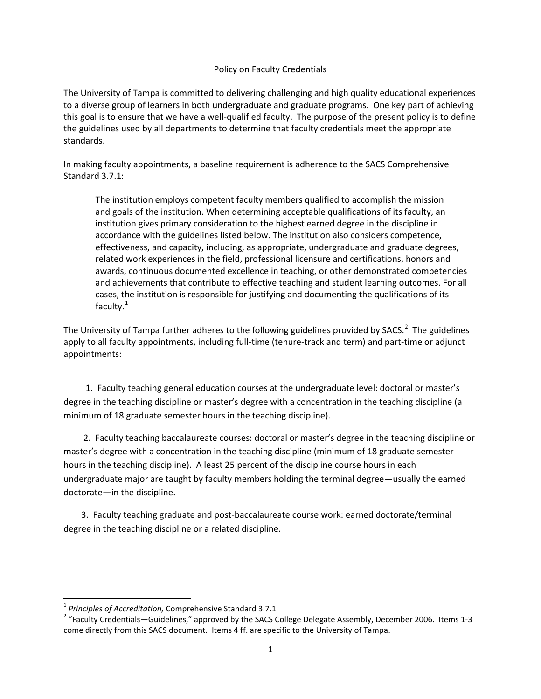## Policy on Faculty Credentials

The University of Tampa is committed to delivering challenging and high quality educational experiences to a diverse group of learners in both undergraduate and graduate programs. One key part of achieving this goal is to ensure that we have a well-qualified faculty. The purpose of the present policy is to define the guidelines used by all departments to determine that faculty credentials meet the appropriate standards.

In making faculty appointments, a baseline requirement is adherence to the SACS Comprehensive Standard 3.7.1:

The institution employs competent faculty members qualified to accomplish the mission and goals of the institution. When determining acceptable qualifications of its faculty, an institution gives primary consideration to the highest earned degree in the discipline in accordance with the guidelines listed below. The institution also considers competence, effectiveness, and capacity, including, as appropriate, undergraduate and graduate degrees, related work experiences in the field, professional licensure and certifications, honors and awards, continuous documented excellence in teaching, or other demonstrated competencies and achievements that contribute to effective teaching and student learning outcomes. For all cases, the institution is responsible for justifying and documenting the qualifications of its faculty. $1$ 

The University of Tampa further adheres to the following guidelines provided by SACS.<sup>[2](#page-0-1)</sup> The guidelines apply to all faculty appointments, including full-time (tenure-track and term) and part-time or adjunct appointments:

 1. Faculty teaching general education courses at the undergraduate level: doctoral or master's degree in the teaching discipline or master's degree with a concentration in the teaching discipline (a minimum of 18 graduate semester hours in the teaching discipline).

 2. Faculty teaching baccalaureate courses: doctoral or master's degree in the teaching discipline or master's degree with a concentration in the teaching discipline (minimum of 18 graduate semester hours in the teaching discipline). A least 25 percent of the discipline course hours in each undergraduate major are taught by faculty members holding the terminal degree—usually the earned doctorate—in the discipline.

 3. Faculty teaching graduate and post-baccalaureate course work: earned doctorate/terminal degree in the teaching discipline or a related discipline.

l

<span id="page-0-1"></span><span id="page-0-0"></span><sup>&</sup>lt;sup>1</sup> Principles of Accreditation, Comprehensive Standard 3.7.1<br><sup>2</sup> "Faculty Credentials—Guidelines," approved by the SACS College Delegate Assembly, December 2006. Items 1-3 come directly from this SACS document. Items 4 ff. are specific to the University of Tampa.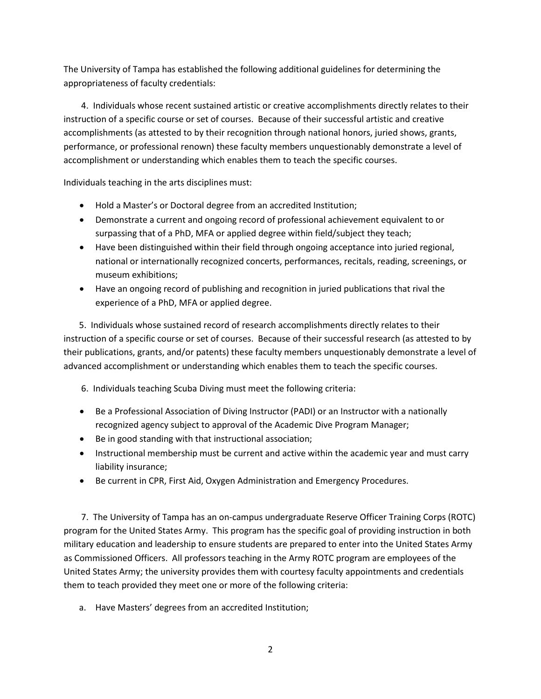The University of Tampa has established the following additional guidelines for determining the appropriateness of faculty credentials:

 4. Individuals whose recent sustained artistic or creative accomplishments directly relates to their instruction of a specific course or set of courses. Because of their successful artistic and creative accomplishments (as attested to by their recognition through national honors, juried shows, grants, performance, or professional renown) these faculty members unquestionably demonstrate a level of accomplishment or understanding which enables them to teach the specific courses.

Individuals teaching in the arts disciplines must:

- Hold a Master's or Doctoral degree from an accredited Institution;
- Demonstrate a current and ongoing record of professional achievement equivalent to or surpassing that of a PhD, MFA or applied degree within field/subject they teach;
- Have been distinguished within their field through ongoing acceptance into juried regional, national or internationally recognized concerts, performances, recitals, reading, screenings, or museum exhibitions;
- Have an ongoing record of publishing and recognition in juried publications that rival the experience of a PhD, MFA or applied degree.

 5. Individuals whose sustained record of research accomplishments directly relates to their instruction of a specific course or set of courses. Because of their successful research (as attested to by their publications, grants, and/or patents) these faculty members unquestionably demonstrate a level of advanced accomplishment or understanding which enables them to teach the specific courses.

- 6. Individuals teaching Scuba Diving must meet the following criteria:
- Be a Professional Association of Diving Instructor (PADI) or an Instructor with a nationally recognized agency subject to approval of the Academic Dive Program Manager;
- Be in good standing with that instructional association;
- Instructional membership must be current and active within the academic year and must carry liability insurance;
- Be current in CPR, First Aid, Oxygen Administration and Emergency Procedures.

 7. The University of Tampa has an on-campus undergraduate Reserve Officer Training Corps (ROTC) program for the United States Army. This program has the specific goal of providing instruction in both military education and leadership to ensure students are prepared to enter into the United States Army as Commissioned Officers. All professors teaching in the Army ROTC program are employees of the United States Army; the university provides them with courtesy faculty appointments and credentials them to teach provided they meet one or more of the following criteria:

a. Have Masters' degrees from an accredited Institution;